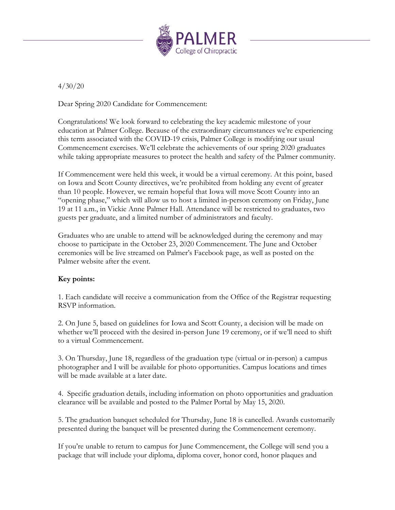

4/30/20

Dear Spring 2020 Candidate for Commencement:

Congratulations! We look forward to celebrating the key academic milestone of your education at Palmer College. Because of the extraordinary circumstances we're experiencing this term associated with the COVID-19 crisis, Palmer College is modifying our usual Commencement exercises. We'll celebrate the achievements of our spring 2020 graduates while taking appropriate measures to protect the health and safety of the Palmer community.

If Commencement were held this week, it would be a virtual ceremony. At this point, based on Iowa and Scott County directives, we're prohibited from holding any event of greater than 10 people. However, we remain hopeful that Iowa will move Scott County into an "opening phase," which will allow us to host a limited in-person ceremony on Friday, June 19 at 11 a.m., in Vickie Anne Palmer Hall. Attendance will be restricted to graduates, two guests per graduate, and a limited number of administrators and faculty.

Graduates who are unable to attend will be acknowledged during the ceremony and may choose to participate in the October 23, 2020 Commencement. The June and October ceremonies will be live streamed on Palmer's Facebook page, as well as posted on the Palmer website after the event.

## **Key points:**

1. Each candidate will receive a communication from the Office of the Registrar requesting RSVP information.

2. On June 5, based on guidelines for Iowa and Scott County, a decision will be made on whether we'll proceed with the desired in-person June 19 ceremony, or if we'll need to shift to a virtual Commencement.

3. On Thursday, June 18, regardless of the graduation type (virtual or in-person) a campus photographer and I will be available for photo opportunities. Campus locations and times will be made available at a later date.

4. Specific graduation details, including information on photo opportunities and graduation clearance will be available and posted to the Palmer Portal by May 15, 2020.

5. The graduation banquet scheduled for Thursday, June 18 is cancelled. Awards customarily presented during the banquet will be presented during the Commencement ceremony.

If you're unable to return to campus for June Commencement, the College will send you a package that will include your diploma, diploma cover, honor cord, honor plaques and